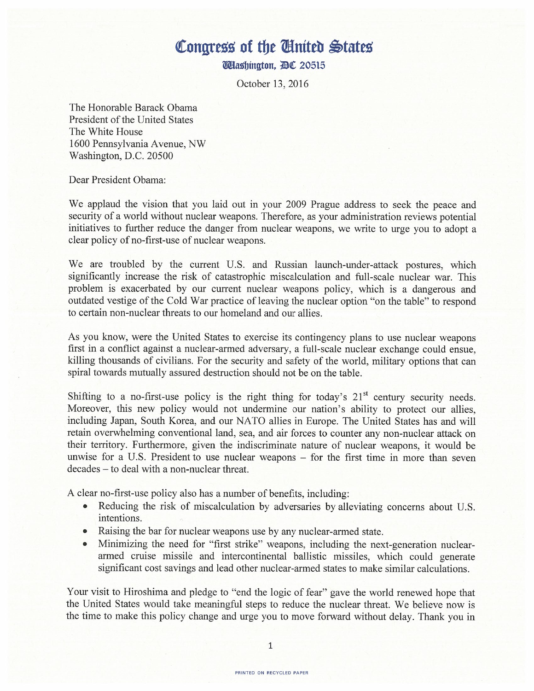## Congress of the Cinited States

**Washington, AC 20515** 

October 13, 2016

The Honorable Barack Obama President of the United States The White House <sup>1600</sup> Pennsylvania Avenue, NW Washington, D.C. 20500

Dear President Obama:

We applaud the vision that you laid out in your 2009 Prague address to seek the peace and security of <sup>a</sup> world without nuclear weapons. Therefore, as your administration reviews potential initiatives to further reduce the danger from nuclear weapons, we write to urge you to adopt <sup>a</sup> clear policy of no-first-use of nuclear weapons.

We are troubled by the current U.S. and Russian launch-under-attack postures, which significantly increase the risk of catastrophic miscalculation and full-scale nuclear war. This problem is exacerbated by our current nuclear weapons policy, which is <sup>a</sup> dangerous and outdated vestige of the Cold War practice of leaving the nuclear option "on the table" to respond to certain non-nuclear threats to our homeland and our allies.

As you know, were the United States to exercise its contingency plans to use nuclear weapons first in <sup>a</sup> conflict against <sup>a</sup> nuclear-armed adversary, <sup>a</sup> full-scale nuclear exchange could ensue, killing thousands of civilians. For the security and safety of the world, military options that can spiral towards mutually assured destruction should not be on the table.

Shifting to a no-first-use policy is the right thing for today's  $21<sup>st</sup>$  century security needs. Moreover, this new policy would not undermine our nation's ability to protect our allies, including Japan, South Korea, and our NATO allies in Europe. The United States has and will retain overwhelming conventional land, sea, and air forces to counter any non-nuclear attack on their territory. Furthermore, given the indiscriminate nature of nuclear weapons, it would be unwise for <sup>a</sup> U.S. President to use nuclear weapons — for the first time in more than seven decades — to deal with a non-nuclear threat.

A clear no-first-use policy also has <sup>a</sup> number of benefits, including:

- Reducing the risk of miscalculation by adversaries by alleviating concerns about U.S. intentions.
- Raising the bar for nuclear weapons use by any nuclear-armed state.
- Minimizing the need for "first strike" weapons, including the next-generation nucleararmed cruise missile and intercontinental ballistic missiles, which could generate significant cost savings and lead other nuclear-armed states to make similar calculations.

Your visit to Hiroshima and pledge to "end the logic of fear" gave the world renewed hope that the United States would take meaningful steps to reduce the nuclear threat. We believe now is the time to make this policy change and urge you to move forward without delay. Thank you in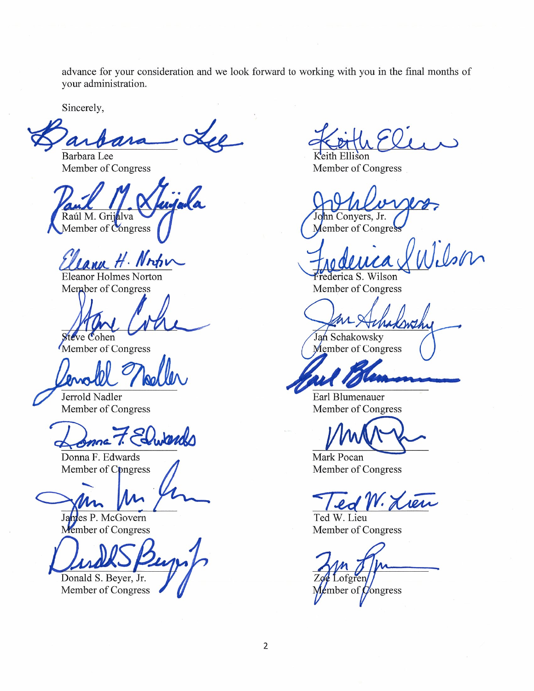advance for your consideration and we look forward to working with you in the final months of your administration.

Sincerely,

 $\Lambda$ Barbara Lee

Member of Congress

Raúl M. Grijalva Member of Congress

JAMM H. Nrshi

**Eleanor Holmes Norton** Member of Congress

teve Cohen

Member of Congress

Jerrold Nadler Member of Congress

Dupards

Donna F. Edwards Member of Congress

es P. McGovern Member of Congress

Donald S. Beyer, Jr.

Member of Congress

Keith Ellison

Member of Congress

hn Conyers, Jr. Member of Congres

 $1.0$ son

Frederica S. Wilson Member of Congress

Jan Schakowsky Member of Congress

Earl Blumenauer Member of Congress

Mark Pocan Member of Congress

ed W. Lien

Ted W. Lieu Member of Congress

toren mber of  $\beta$ ongress